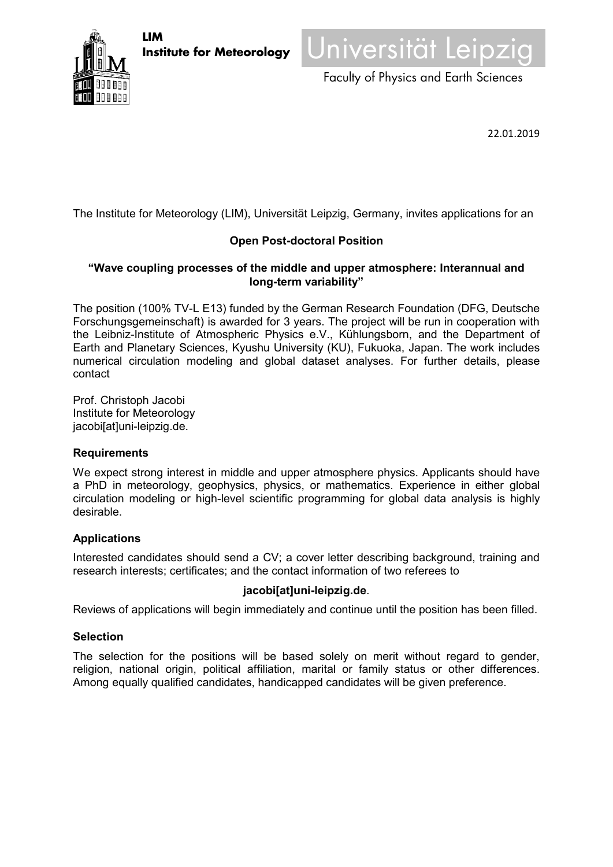



Faculty of Physics and Earth Sciences

22.01.2019

The Institute for Meteorology (LIM), Universität Leipzig, Germany, invites applications for an

# **Open Post-doctoral Position**

## **"Wave coupling processes of the middle and upper atmosphere: Interannual and long-term variability"**

The position (100% TV-L E13) funded by the German Research Foundation (DFG, Deutsche Forschungsgemeinschaft) is awarded for 3 years. The project will be run in cooperation with the Leibniz-Institute of Atmospheric Physics e.V., Kühlungsborn, and the Department of Earth and Planetary Sciences, Kyushu University (KU), Fukuoka, Japan. The work includes numerical circulation modeling and global dataset analyses. For further details, please contact

Prof. Christoph Jacobi Institute for Meteorology jacobi[at]uni-leipzig.de.

## **Requirements**

We expect strong interest in middle and upper atmosphere physics. Applicants should have a PhD in meteorology, geophysics, physics, or mathematics. Experience in either global circulation modeling or high-level scientific programming for global data analysis is highly desirable.

# **Applications**

Interested candidates should send a CV; a cover letter describing background, training and research interests; certificates; and the contact information of two referees to

## **jacobi[at]uni-leipzig.de**.

Reviews of applications will begin immediately and continue until the position has been filled.

## **Selection**

The selection for the positions will be based solely on merit without regard to gender, religion, national origin, political affiliation, marital or family status or other differences. Among equally qualified candidates, handicapped candidates will be given preference.